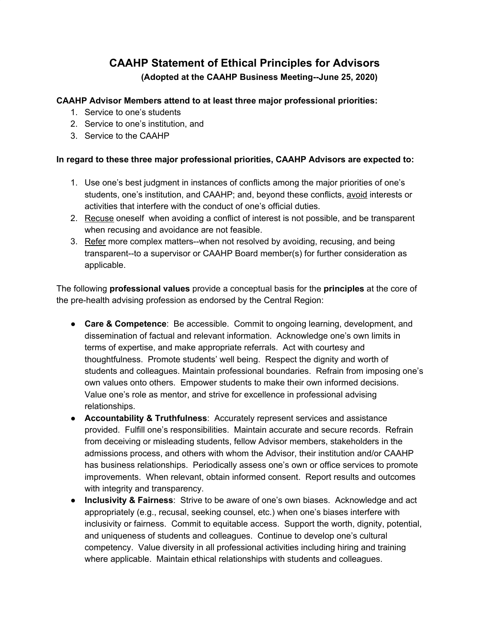## **CAAHP Statement of Ethical Principles for Advisors (Adopted at the CAAHP Business Meeting--June 25, 2020)**

## **CAAHP Advisor Members attend to at least three major professional priorities:**

- 1. Service to one's students
- 2. Service to one's institution, and
- 3. Service to the CAAHP

## **In regard to these three major professional priorities, CAAHP Advisors are expected to:**

- 1. Use one's best judgment in instances of conflicts among the major priorities of one's students, one's institution, and CAAHP; and, beyond these conflicts, avoid interests or activities that interfere with the conduct of one's official duties.
- 2. Recuse oneself when avoiding a conflict of interest is not possible, and be transparent when recusing and avoidance are not feasible.
- 3. Refer more complex matters--when not resolved by avoiding, recusing, and being transparent--to a supervisor or CAAHP Board member(s) for further consideration as applicable.

The following **professional values** provide a conceptual basis for the **principles** at the core of the pre-health advising profession as endorsed by the Central Region:

- **Care & Competence**: Be accessible. Commit to ongoing learning, development, and dissemination of factual and relevant information. Acknowledge one's own limits in terms of expertise, and make appropriate referrals. Act with courtesy and thoughtfulness. Promote students' well being. Respect the dignity and worth of students and colleagues. Maintain professional boundaries. Refrain from imposing one's own values onto others. Empower students to make their own informed decisions. Value one's role as mentor, and strive for excellence in professional advising relationships.
- **Accountability & Truthfulness**: Accurately represent services and assistance provided. Fulfill one's responsibilities. Maintain accurate and secure records. Refrain from deceiving or misleading students, fellow Advisor members, stakeholders in the admissions process, and others with whom the Advisor, their institution and/or CAAHP has business relationships. Periodically assess one's own or office services to promote improvements. When relevant, obtain informed consent. Report results and outcomes with integrity and transparency.
- **Inclusivity & Fairness**: Strive to be aware of one's own biases. Acknowledge and act appropriately (e.g., recusal, seeking counsel, etc.) when one's biases interfere with inclusivity or fairness. Commit to equitable access. Support the worth, dignity, potential, and uniqueness of students and colleagues. Continue to develop one's cultural competency. Value diversity in all professional activities including hiring and training where applicable. Maintain ethical relationships with students and colleagues.